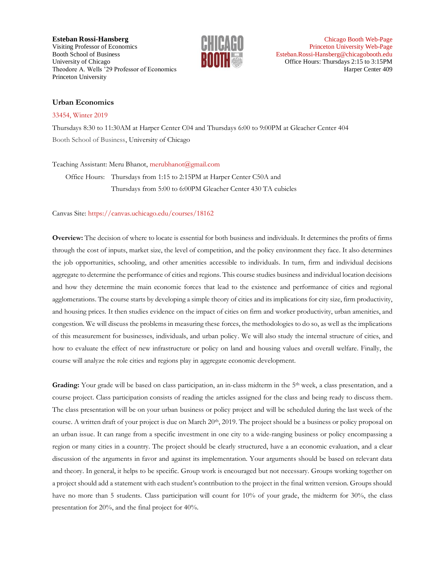**Esteban Rossi-Hansberg [Chicago Booth Web-Page](https://www.chicagobooth.edu/faculty/directory/r/esteban-rossi-hansberg) 2014 12:30 PM Chicago Booth Web-Page** Visiting Professor of Economics **[Princeton University Web-Page](https://www.princeton.edu/~erossi/)** Princeton University Web-Page Booth School of Business **External School of Business** [Esteban.Rossi-Hansberg@chicagobooth.edu](mailto:Esteban.Rossi-Hansberg@chicagobooth.edu) University of Chicago **Office Hours: Thursdays 2:15 to 3:15PM** Theodore A. Wells '29 Professor of Economics **Harper Center 409** Harper Center 409 Princeton University



#### **Urban Economics**

#### [33454, Winter 2019](https://intranet.chicagobooth.edu/pub/coursesearch/CourseDetail?AcademicYear=2018&CourseNumber=33454&ProfessorIds=247110)

Thursdays 8:30 to 11:30AM at Harper Center C04 and Thursdays 6:00 to 9:00PM at Gleacher Center 404 Booth School of Business, University of Chicago

#### Teaching Assistant: Meru Bhanot, [merubhanot@gmail.com](mailto:merubhanot@gmail.com)

Office Hours: Thursdays from 1:15 to 2:15PM at Harper Center C50A and Thursdays from 5:00 to 6:00PM Gleacher Center 430 TA cubicles

Canvas Site:<https://canvas.uchicago.edu/courses/18162>

**Overview:** The decision of where to locate is essential for both business and individuals. It determines the profits of firms through the cost of inputs, market size, the level of competition, and the policy environment they face. It also determines the job opportunities, schooling, and other amenities accessible to individuals. In turn, firm and individual decisions aggregate to determine the performance of cities and regions. This course studies business and individual location decisions and how they determine the main economic forces that lead to the existence and performance of cities and regional agglomerations. The course starts by developing a simple theory of cities and its implications for city size, firm productivity, and housing prices. It then studies evidence on the impact of cities on firm and worker productivity, urban amenities, and congestion. We will discuss the problems in measuring these forces, the methodologies to do so, as well as the implications of this measurement for businesses, individuals, and urban policy. We will also study the internal structure of cities, and how to evaluate the effect of new infrastructure or policy on land and housing values and overall welfare. Finally, the course will analyze the role cities and regions play in aggregate economic development.

Grading: Your grade will be based on class participation, an in-class midterm in the 5<sup>th</sup> week, a class presentation, and a course project. Class participation consists of reading the articles assigned for the class and being ready to discuss them. The class presentation will be on your urban business or policy project and will be scheduled during the last week of the course. A written draft of your project is due on March 20<sup>th</sup>, 2019. The project should be a business or policy proposal on an urban issue. It can range from a specific investment in one city to a wide-ranging business or policy encompassing a region or many cities in a country. The project should be clearly structured, have a an economic evaluation, and a clear discussion of the arguments in favor and against its implementation. Your arguments should be based on relevant data and theory. In general, it helps to be specific. Group work is encouraged but not necessary. Groups working together on a project should add a statement with each student's contribution to the project in the final written version. Groups should have no more than 5 students. Class participation will count for 10% of your grade, the midterm for 30%, the class presentation for 20%, and the final project for 40%.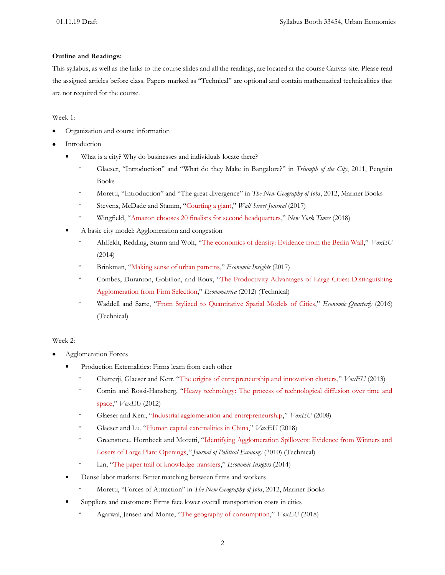## **Outline and Readings:**

This syllabus, as well as the links to the course slides and all the readings, are located at the course Canvas site. Please read the assigned articles before class. Papers marked as "Technical" are optional and contain mathematical technicalities that are not required for the course.

## Week 1:

- Organization and course information
- **Introduction** 
	- What is a city? Why do businesses and individuals locate there?
		- \* Glaeser, "Introduction" and "What do they Make in Bangalore?" in *Triumph of the City*, 2011, Penguin Books
		- \* Moretti, "Introduction" and "The great divergence" in *The New Geography of Jobs*, 2012, Mariner Books
		- \* Stevens, McDade and Stamm, "[Courting a giant](https://www.wsj.com/graphics/amazon-headquarters/)," *Wall Street Journal* (2017)
		- \* Wingfield, "[Amazon chooses 20 finalists for second headquarters](https://www.nytimes.com/2018/01/18/technology/amazon-finalists-headquarters.html)," *New York Times* (2018)
	- A basic city model: Agglomeration and congestion
		- \* Ahlfeldt, Redding, Sturm and Wolf, "[The economics of density: Evidence from the Berlin Wall](https://voxeu.org/article/economics-density-evidence-berlin-wall)," *VoxEU* (2014)
		- \* Brinkman, "[Making sense of urban patterns](https://www.philadelphiafed.org/-/media/research-and-data/publications/economic-insights/2017/q1/eiq117_making-sense-of-urban-patterns.pdf?la=en)," *Economic Insights* (2017)
		- \* Combes, Duranton, Gobillon, and Roux, "[The Productivity Advantages of Large Cities: Distinguishing](http://onlinelibrary.wiley.com/doi/10.3982/ECTA8442/pdf)  [Agglomeration from Firm Selection](http://onlinelibrary.wiley.com/doi/10.3982/ECTA8442/pdf)," *Econometrica* (2012) (Technical)
		- \* Waddell and Sarte, "[From Stylized to Quantitative Spatial Models of Cities](https://www.richmondfed.org/-/media/richmondfedorg/publications/research/economic_quarterly/2016/q3/sarte.pdf)," *Economic Quarterly* (2016) (Technical)

## Week 2:

- Agglomeration Forces
	- Production Externalities: Firms learn from each other
		- \* Chatterji, Glaeser and Kerr, "[The origins of entrepreneurship and innovation clusters](https://voxeu.org/article/origins-entrepreneurship-and-innovation-clusters)," *VoxEU* (2013)
		- \* Comin and Rossi-Hansberg, "[Heavy technology: The process of technological diffusion over time and](https://voxeu.org/article/heavy-technology-process-technological-diffusion-over-time-and-space)  [space](https://voxeu.org/article/heavy-technology-process-technological-diffusion-over-time-and-space)," *VoxEU* (2012)
		- \* Glaeser and Kerr, "[Industrial agglomeration and entrepreneurship,](https://voxeu.org/article/industrial-agglomeration-and-entrepreneurship)" *VoxEU* (2008)
		- \* Glaeser and Lu, "[Human capital externalities in China](https://voxeu.org/article/human-capital-externalities-china)," *VoxEU* (2018)
		- \* Greenstone, Hornbeck and Moretti, "[Identifying Agglomeration Spillovers: Evidence from Winners and](http://www.jstor.org/stable/10.1086/653714)  [Losers of Large Plant Openings,](http://www.jstor.org/stable/10.1086/653714)*" Journal of Political Economy* (2010) (Technical)
		- \* Lin, "[The paper trail of knowledge transfers](https://www.philadelphiafed.org/-/media/research-and-data/publications/business-review/2014/q2/brQ214_paper_trail.pdf)," *Economic Insights* (2014)
	- Dense labor markets: Better matching between firms and workers
		- \* Moretti, "Forces of Attraction" in *The New Geography of Jobs*, 2012, Mariner Books
	- Suppliers and customers: Firms face lower overall transportation costs in cities
		- \* Agarwal, Jensen and Monte, "[The geography of consumption](https://voxeu.org/article/geography-consumption)," *VoxEU* (2018)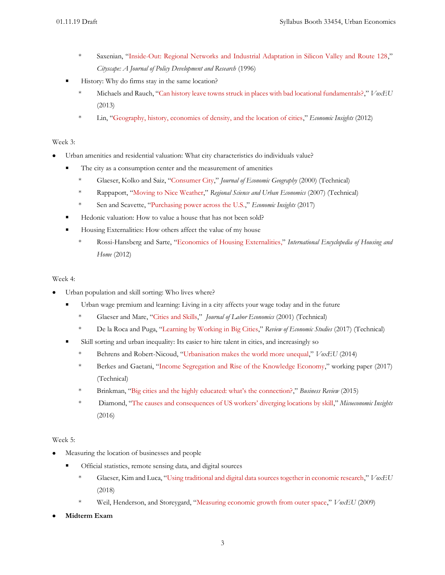- \* Saxenian, "[Inside-Out: Regional Networks and Industrial Adaptation in Silicon Valley and Route 128](http://www.google.com/url?sa=t&rct=j&q=&esrc=s&frm=1&source=web&cd=1&ved=0CCMQFjAA&url=http%3A%2F%2Fpeople.ischool.berkeley.edu%2F~anno%2FPapers%2Finside-out1996.pdf&ei=F7opT5uCMMPX0QGg_9G7Cg&usg=AFQjCNGaV4r0_gVGXRRAgLD7_EWm_Gg25g&sig2=3bncNLr52cgUGqahaTgRmw)," *Cityscape: A Journal of Policy Development and Research* (1996)
- History: Why do firms stay in the same location?
	- \* Michaels and Rauch, "[Can history leave towns struck in places with bad locational fundamentals?](https://voxeu.org/article/are-towns-stuck-wrong-places)," *VoxEU* (2013)
	- \* Lin, "[Geography, history, economies of density, and the location of cities](https://www.phil.frb.org/-/media/research-and-data/publications/business-review/2012/q3/brq312_geography-history-economics-of-density-location-of-cities.pdf)," *Economic Insights* (2012)

## Week 3:

- Urban amenities and residential valuation: What city characteristics do individuals value?
	- The city as a consumption center and the measurement of amenities
		- \* Glaeser, Kolko and Saiz, "[Consumer City](http://joeg.oxfordjournals.org/content/1/1/27.full.pdf+html)," *Journal of Economic Geography* (2000) (Technical)
		- \* Rappaport, "[Moving to Nice Weather](http://www.sciencedirect.com/science/article/pii/S0166046206001001)," *Regional Science and Urban Economics* (2007) (Technical)
		- \* Sen and Scavette, "[Purchasing power across the U.S.](https://www.philadelphiafed.org/-/media/research-and-data/publications/economic-insights/2017/q4/rs_purchasing-power.pdf?la=en)," *Economic Insights* (2017)
	- Hedonic valuation: How to value a house that has not been sold?
	- Housing Externalities: How others affect the value of my house
		- \* Rossi-Hansberg and Sarte, "[Economics of Housing Externalities,](http://www.princeton.edu/~erossi/EHE.pdf)" *International Encyclopedia of Housing and Home* (2012)

## Week 4:

- Urban population and skill sorting: Who lives where?
	- Urban wage premium and learning: Living in a city affects your wage today and in the future
		- \* Glaeser and Mare, "[Cities and Skills](http://www.jstor.org/stable/10.1086/319563)," *Journal of Labor Economics* (2001) (Technical)
		- \* De la Roca and Puga, "[Learning by Working in Big Cities](https://diegopuga.org/papers/DeLaRoca_Puga_REStud_2017.pdf)," *Review of Economic Studies* (2017) (Technical)
	- Skill sorting and urban inequality: Its easier to hire talent in cities, and increasingly so
		- \* Behrens and Robert-Nicoud, "[Urbanisation makes the world more unequal](https://voxeu.org/article/inequality-big-cities)," *VoxEU* (2014)
		- \* Berkes and Gaetani, "[Income Segregation and Rise of the Knowledge Economy](https://sites.northwestern.edu/eberkes/files/2016/08/Berkes_Gaetani_Segregation_November2_2017-1nkccq1.pdf)," working paper (2017) (Technical)
		- \* Brinkman, ["Big cities and the highly educated: what's the connection?,](https://www.philadelphiafed.org/-/media/research-and-data/publications/business-review/2015/q3/brq315_big_cities_and_the_highly_educated.pdf?la=en)" *Business Review* (2015)
		- \* Diamond, ["The causes and consequences of US workers' diverging locations by skill,](http://microeconomicinsights.org/causes-consequences-us-workers-diverging-locations-skill/)" *Micoeconomic Insights* (2016)

## Week 5:

- Measuring the location of businesses and people
	- Official statistics, remote sensing data, and digital sources
		- \* Glaeser, Kim and Luca, "[Using traditional and digital data sources together in economic research](https://voxeu.org/article/measuring-local-economy-yelp-data)," *VoxEU*  (2018)
		- \* Weil, Henderson, and Storeygard, "[Measuring economic growth from outer space](https://voxeu.org/article/measuring-economic-growth-outer-space)," *VoxEU* (2009)
- **Midterm Exam**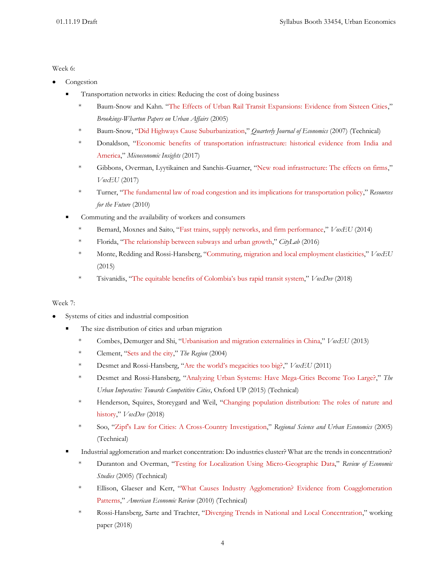#### Week 6:

- Congestion
	- Transportation networks in cities: Reducing the cost of doing business
		- \* Baum-Snow and Kahn. "[The Effects of Urban Rail Transit Expansions: Evidence from Sixteen Cities](http://www.jstor.org/stable/25067419?seq=1#page_scan_tab_contents)," *Brookings-Wharton Papers on Urban Affairs* (2005)
		- \* Baum-Snow, "[Did Highways Cause Suburbanization](http://qje.oxfordjournals.org/content/122/2/775.full.pdf+html)," *Quarterly Journal of Economics* (2007) (Technical)
		- \* Donaldson, "[Economic benefits of transportation infrastructure: historical evidence from India and](http://microeconomicinsights.org/economic-benefits-transportation-infrastructure/)  [America](http://microeconomicinsights.org/economic-benefits-transportation-infrastructure/)," *Micoeconomic Insights* (2017)
		- \* Gibbons, Overman, Lyytikainen and Sanchis-Guarner, "[New road infrastructure: The effects on firms](https://voxeu.org/article/new-road-infrastructure-effects-firms)," *VoxEU* (2017)
		- \* Turner, "[The fundamental law of road congestion and its implications for transportation policy](http://www.rff.org/blog/2010/fundamental-law-road-congestion-and-its-implications-transportation-policy)," *Resources for the Future* (2010)
	- Commuting and the availability of workers and consumers
		- \* Bernard, Moxnes and Saito, "[Fast trains, supply networks, and firm performance](https://voxeu.org/article/fast-trains-and-firm-performance-new-japanese-evidence)," *VoxEU* (2014)
		- \* Florida, "[The relationship between subways and urban growth](https://www.citylab.com/transportation/2016/06/the-relationship-between-subways-and-urban-growth/485006/)," *CityLab* (2016)
		- \* Monte, Redding and Rossi-Hansberg, "[Commuting, migration and local employment elasticities](https://voxeu.org/article/commuting-and-local-jobs)," *VoxEU*  (2015)
		- \* Tsivanidis, ["The equitable benefits of Colombia's bus rapid transit system,"](https://voxdev.org/topic/infrastructure-urbanisation/equitable-benefits-colombia-s-bus-rapid-transit-system) *VoxDev* (2018)

## Week 7:

- Systems of cities and industrial composition
	- The size distribution of cities and urban migration
		- \* Combes, Demurger and Shi, "[Urbanisation and migration externalities in](https://voxeu.org/article/urbanisation-and-migration-externalities-china) China," *VoxEU* (2013)
		- \* Clement, "[Sets and the city](https://www.minneapolisfed.org/publications/the-region/sets-and-the-city)," *The Region* (2004)
		- \* Desmet and Rossi-Hansberg, ["Are the world's megacities too big?,](https://voxeu.org/article/are-world-s-megacities-too-big)" *VoxEU* (2011)
		- \* Desmet and Rossi-Hansberg, "[Analyzing Urban Systems: Have Mega-Cities Become Too Large?](http://www.princeton.edu/~erossi/WBGlaeser040412.pdf)," *The Urban Imperative: Towards Competitive Cities*, Oxford UP (2015) (Technical)
		- \* Henderson, Squires, Storeygard and Weil, "[Changing population distribution: The roles of nature and](https://voxdev.org/topic/infrastructure-urbanisation/changing-population-distribution-roles-nature-and-history-1)  [history](https://voxdev.org/topic/infrastructure-urbanisation/changing-population-distribution-roles-nature-and-history-1)," *VoxDev* (2018)
		- \* Soo, "[Zipf's Law for Cities: A Cross-Country Investigation](http://www.sciencedirect.com/science/article/pii/S016604620400033X)," *Regional Science and Urban Economics* (2005) (Technical)
	- Industrial agglomeration and market concentration: Do industries cluster? What are the trends in concentration?
		- \* Duranton and Overman, "[Testing for Localization Using Micro-Geographic Data](http://restud.oxfordjournals.org/content/72/4/1077.full.pdf+html)," *Review of Economic Studies* (2005) (Technical)
		- \* Ellison, Glaeser and Kerr, "[What Causes Industry Agglomeration? Evidence from Coagglomeration](http://www.aeaweb.org/atypon.php?return_to=/doi/pdfplus/10.1257/aer.100.3.1195)  [Patterns](http://www.aeaweb.org/atypon.php?return_to=/doi/pdfplus/10.1257/aer.100.3.1195)," *American Economic Review* (2010) (Technical)
		- \* Rossi-Hansberg, Sarte and Trachter, "[Diverging Trends in National and Local Concentration](https://www.princeton.edu/~erossi/DTNLC.pdf)," working paper (2018)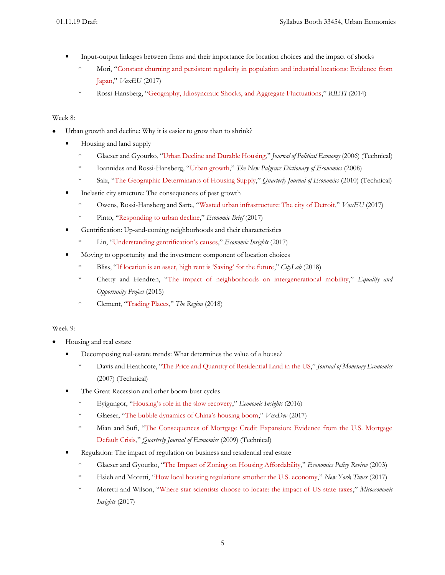- Input-output linkages between firms and their importance for location choices and the impact of shocks
	- \* Mori, "[Constant churning and persistent regularity in population and industrial locations: Evidence](https://voxeu.org/article/size-and-industrial-structure-japanese-cities) from [Japan](https://voxeu.org/article/size-and-industrial-structure-japanese-cities)," *VoxEU* (2017)
	- \* Rossi-Hansberg, "[Geography, Idiosyncratic Shocks, and Aggregate Fluctuations](https://www.rieti.go.jp/en/special/p_a_w/041.html)," *RIETI* (2014)

## Week 8:

- Urban growth and decline: Why it is easier to grow than to shrink?
	- Housing and land supply
		- \* Glaeser and Gyourko, "[Urban Decline and](http://www.jstor.org/stable/10.1086/427465) Durable Housing," *Journal of Political Economy* (2006) (Technical)
		- \* Ioannides and Rossi-Hansberg, "[Urban growth](https://www.princeton.edu/~erossi/UG.pdf)," *The New Palgrave Dictionary of Economics* (2008)
		- \* Saiz, "[The Geographic Determinants of Housing Supply](http://qje.oxfordjournals.org/content/125/3/1253.full.pdf+html)," *Quarterly Journal of Economics* (2010) (Technical)
	- Inelastic city structure: The consequences of past growth
		- \* Owens, Rossi-Hansberg and Sarte, "[Wasted urban infrastructure: The city of Detroit](https://voxeu.org/article/wasted-urban-infrastructure-city-detroit)," *VoxEU* (2017)
		- \* Pinto, "[Responding to urban decline](https://www.richmondfed.org/publications/research/economic_brief/2017/eb_17-07)," *Economic Brief* (2017)
	- Gentrification: Up-and-coming neighborhoods and their characteristics
		- \* Lin, ["Understanding gentrification's causes,](https://www.philadelphiafed.org/-/media/research-and-data/publications/economic-insights/2017/q3/eiq3_understanding-gentrifications-causes.pdf)" *Economic Insights* (2017)
	- Moving to opportunity and the investment component of location choices
		- \* Bliss, ["If location is an asset, high rent is 'Saving' for the future,](https://www.citylab.com/life/2018/08/paying-high-rent-in-pricey-cities-is-saving-for-the-future/566468/)" *CityLab* (2018)
		- \* Chetty and Hendren, "[The impact of neighborhoods on intergenerational mobility](http://www.equality-of-opportunity.org/assets/documents/nbhds_exec_summary.pdf)," *Equality and Opportunity Project* (2015)
		- \* Clement, "[Trading Places](https://www.minneapolisfed.org/publications/the-region/trading-places-research-digest)," *The Region* (2018)

# Week 9:

- Housing and real estate
	- **Decomposing real-estate trends:** What determines the value of a house?
		- \* Davis and Heathcote, "[The Price and Quantity of Residential Land in the US](http://dx.doi.org/10.1016/j.jmoneco.2007.06.023)," *Journal of Monetary Economics* (2007) (Technical)
	- The Great Recession and other boom-bust cycles
		- \* Eyigungor, ["Housing's role in the slow recovery,"](https://www.philadelphiafed.org/-/media/research-and-data/publications/economic-insights/2016/q2/eiq216_housings_role.pdf?la=en) *Economic Insights* (2016)
		- \* Glaeser, ["The bubble dynamics of China's housing boom,"](https://voxdev.org/topic/infrastructure-urbanisation/bubble-dynamics-china-s-housing-boom) *VoxDev* (2017)
		- \* Mian and Sufi, "[The Consequences of Mortgage Credit Expansion: Evidence from the U.S. Mortgage](http://qje.oxfordjournals.org/content/124/4/1449.full.pdf+html)  [Default Crisis](http://qje.oxfordjournals.org/content/124/4/1449.full.pdf+html)," *Quarterly Journal of Economics* (2009) (Technical)
	- Regulation: The impact of regulation on business and residential real estate
		- \* Glaeser and Gyourko, "[The Impact of Zoning on Housing Affordability](http://www.newyorkfed.org/research/epr/03v09n2/0306glae.pdf)," *Economics Policy Review* (2003)
		- \* Hsieh and Moretti, "[How local housing regulations smother the U.S. economy](https://www.nytimes.com/2017/09/06/opinion/housing-regulations-us-economy.html)," *New York Times* (2017)
		- \* Moretti and Wilson, "[Where star scientists choose to locate: the impact of US state taxes](http://microeconomicinsights.org/star-scientists-choose-locate-impact-us-state-taxes/)," *Micoeconomic Insights* (2017)